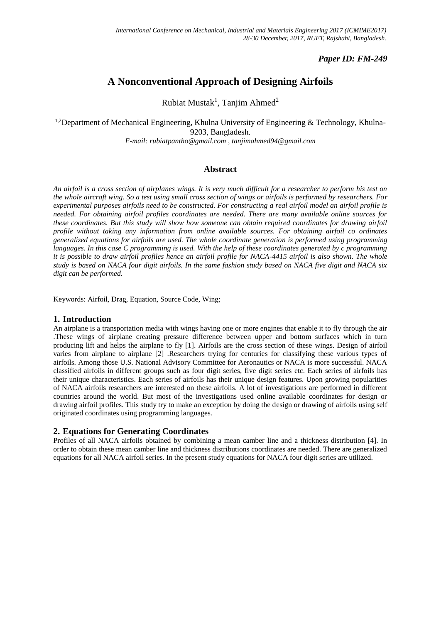## *Paper ID: FM-249*

# **A Nonconventional Approach of Designing Airfoils**

Rubiat Mustak<sup>1</sup>, Tanjim Ahmed<sup>2</sup>

<sup>1,2</sup>Department of Mechanical Engineering, Khulna University of Engineering & Technology, Khulna-9203, Bangladesh. *E-mail: rubiatpantho@gmail.com , tanjimahmed94@gmail.com*

## **Abstract**

*An airfoil is a cross section of airplanes wings. It is very much difficult for a researcher to perform his test on the whole aircraft wing. So a test using small cross section of wings or airfoils is performed by researchers. For experimental purposes airfoils need to be constructed. For constructing a real airfoil model an airfoil profile is needed. For obtaining airfoil profiles coordinates are needed. There are many available online sources for these coordinates. But this study will show how someone can obtain required coordinates for drawing airfoil profile without taking any information from online available sources. For obtaining airfoil co ordinates generalized equations for airfoils are used. The whole coordinate generation is performed using programming languages. In this case C programming is used. With the help of these coordinates generated by c programming it is possible to draw airfoil profiles hence an airfoil profile for NACA-4415 airfoil is also shown. The whole study is based on NACA four digit airfoils. In the same fashion study based on NACA five digit and NACA six digit can be performed.* 

Keywords: Airfoil, Drag, Equation, Source Code, Wing;

### **1. Introduction**

An airplane is a transportation media with wings having one or more engines that enable it to fly through the air .These wings of airplane creating pressure difference between upper and bottom surfaces which in turn producing lift and helps the airplane to fly [1]. Airfoils are the cross section of these wings. Design of airfoil varies from airplane to airplane [2] .Researchers trying for centuries for classifying these various types of airfoils. Among those U.S. National Advisory Committee for Aeronautics or NACA is more successful. NACA classified airfoils in different groups such as four digit series, five digit series etc. Each series of airfoils has their unique characteristics. Each series of airfoils has their unique design features. Upon growing popularities of NACA airfoils researchers are interested on these airfoils. A lot of investigations are performed in different countries around the world. But most of the investigations used online available coordinates for design or drawing airfoil profiles. This study try to make an exception by doing the design or drawing of airfoils using self originated coordinates using programming languages.

### **2. Equations for Generating Coordinates**

Profiles of all NACA airfoils obtained by combining a mean camber line and a thickness distribution [4]. In order to obtain these mean camber line and thickness distributions coordinates are needed. There are generalized equations for all NACA airfoil series. In the present study equations for NACA four digit series are utilized.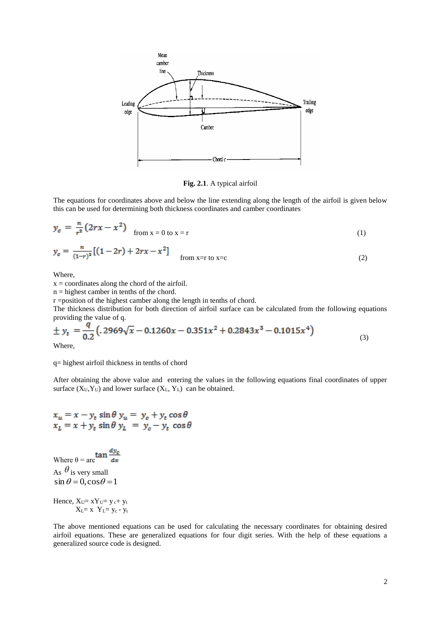

**Fig. 2.1**. A typical airfoil

The equations for coordinates above and below the line extending along the length of the airfoil is given below this can be used for determining both thickness coordinates and camber coordinates

$$
y_c = \frac{n}{r^2} (2rx - x^2) \quad \text{from } x = 0 \text{ to } x = r \tag{1}
$$

$$
y_c = \frac{n}{(1-r)^2} [(1-2r) + 2rx - x^2]
$$
from x =r to x =c (2)

Where,

 $x =$  coordinates along the chord of the airfoil.

n = highest camber in tenths of the chord.

r =position of the highest camber along the length in tenths of chord.

The thickness distribution for both direction of airfoil surface can be calculated from the following equations providing the value of q.

$$
\pm y_t = \frac{q}{0.2} \left( .2969\sqrt{x} - 0.1260x - 0.351x^2 + 0.2843x^3 - 0.1015x^4 \right)
$$
\n
$$
\text{Where}
$$
\n(3)

Where,

#### q= highest airfoil thickness in tenths of chord

After obtaining the above value and entering the values in the following equations final coordinates of upper surface  $(X_U, Y_U)$  and lower surface  $(X_L, Y_L)$  can be obtained.

$$
x_u = x - y_t \sin \theta \ y_u = y_c + y_t \cos \theta
$$
  

$$
x_L = x + y_t \sin \theta \ y_L = y_c - y_t \cos \theta
$$

Where  $\theta = \arctan \frac{dy_c}{dx}$ As  $\theta$  is very small  $\sin \theta = 0$ ,  $\cos \theta = 1$ 

Hence,  $X_U = xY_U = y_c + y_t$  $X_L=x$   $Y_L=y_c - y_t$ 

The above mentioned equations can be used for calculating the necessary coordinates for obtaining desired airfoil equations. These are generalized equations for four digit series. With the help of these equations a generalized source code is designed.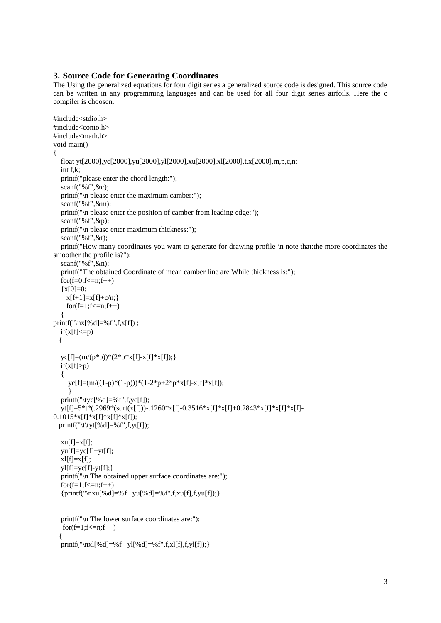### **3. Source Code for Generating Coordinates**

The Using the generalized equations for four digit series a generalized source code is designed. This source code can be written in any programming languages and can be used for all four digit series airfoils. Here the c compiler is choosen.

```
#include<stdio.h>
#include<conio.h>
\#include<math h>void main()
{
   float yt[2000],yc[2000],yu[2000],yl[2000],xu[2000],xl[2000],t,x[2000],m,p,c,n;
   int f,k;
   printf("please enter the chord length:");
  scanf("%f".&c);
   printf("\n please enter the maximum camber:");
   scanf("%f",&m);
   printf("\n please enter the position of camber from leading edge:");
   scanf("%f",&p);
   printf("\n please enter maximum thickness:");
  scanf("%f", &t);
   printf("How many coordinates you want to generate for drawing profile \n note that:the more coordinates the 
smoother the profile is?");
   scanf("%f",&n);
   printf("The obtained Coordinate of mean camber line are While thickness is:");
  for(f=0; f<=n; f++){x[0]=0;}x[f+1]=x[f]+c/n;for(f=1; f<=n; f++)\{printf("\nx[%d]=%f",f,x[f]) ;
  if(x[f] \leq p) {
  yc[f]=(m/(p*p))*(2*p*x[f]-x[f]*x[f]);if(x[f]>p) {
      yc[f]=(m/((1-p)*(1-p)))*(1-2*p+2*p*x[f]-x[f]*x[f]);
 }
   printf("\tyc[%d]=%f",f,yc[f]);
   yt[f]=5*t*(.2969*(sqrt(x[f]))-.1260*x[f]-0.3516*x[f]*x[f]+0.2843*x[f]*x[f]*x[f]-
0.1015*x[f]*x[f]*x[f]*x[f];printf("\t\tyt[%d]=%f",f,yt[f]);
  xu[f]=x[f]; yu[f]=yc[f]+yt[f];
  x1[f]=x[f];y[[f]=yc[f]-yt[f];}
  printf("\n The obtained upper surface coordinates are:");
  for(f=1; f<=n; f++){print('\\nxu[%d]=%f yu[%d]=%f",f,xu[f],f,yu[f]);} printf("\n The lower surface coordinates are:");
   for(f=1; f<=n; f++) {
  printf("\nxl[%d]=%f yl[%d]=%f",f,xl[f],f,yl[f]); }
```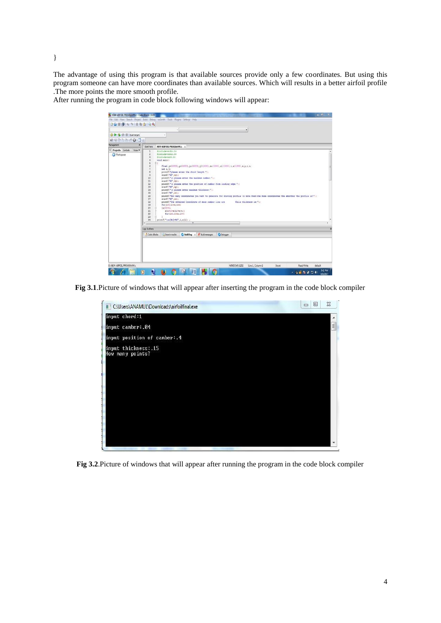The advantage of using this program is that available sources provide only a few coordinates. But using this program someone can have more coordinates than available sources. Which will results in a better airfoil profile .The more points the more smooth profile.

After running the program in code block following windows will appear:



**Fig 3.1**.Picture of windows that will appear after inserting the program in the code block compiler



**Fig 3.2**.Picture of windows that will appear after running the program in the code block compiler

}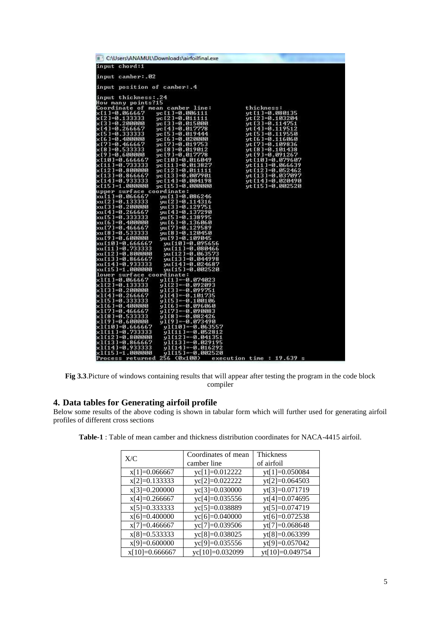| C:\Users\ANAMUL\Downloads\airfoilfinal.exe                                           |                                       |
|--------------------------------------------------------------------------------------|---------------------------------------|
| input chord:1                                                                        |                                       |
| input camber: 02                                                                     |                                       |
| input position of camber: 4                                                          |                                       |
| input thickness: 24                                                                  |                                       |
| How many points?15                                                                   |                                       |
| Coordinate of mean camber line:                                                      | thickness:                            |
| ×[1]=0.066667<br>yc [1]=0.006111                                                     | yt [1]=0.080135                       |
| x[2]=0.133333<br>$yc [2] = 0.011111$                                                 | $vt[2] = 0.103204$                    |
| × [ 3 ] =0.200000<br>$yc [3] = 0.015000$                                             | yt [3]=0.114751                       |
| ×[4]=0.266667<br>$vc[4] = 0.017778$                                                  | $vt[4]-0.119512$                      |
| ×[5]=0.333333<br>$yc[5] = 0.019444$<br>yc [6]=0.020000                               | yt [5]=0.119550                       |
| ×16 1=0.400000<br>x[7]=0.466667<br>$vc [7] = 0.019753$                               | yt [6]=0.116060<br>$vt[7] = 0.109836$ |
| × [8]=0.533333<br>yc [8]=0.019012                                                    | yt [8]=0.101438                       |
| ×191=0.600000<br>$vc [9] = 0.017778$                                                 | yt [9]=0.091267                       |
| x[10]=0.666667<br>yc [10]=0.016049                                                   | yt[10]=0.079607                       |
| x[11]=0.733333<br>yc [11]=0.013827                                                   | yt $[11] = 0.066639$                  |
| $\times$ [12]=0.800000<br>yc [12]=0.011111                                           | yt [12]=0.052462                      |
| ×[13]=0.866667<br>yc [13]=0.007901                                                   | vt[13]=0.037097                       |
| x[14]=0.933333<br>yc [14]=0.004198                                                   | yt [14]=0.020490                      |
| x[15]=1.000000<br>yc [15]=0.000000                                                   | yt [15]=0.002520                      |
| upper surface coordinate:                                                            |                                       |
| xu [1 ]=0.066667<br>yu [1]=0.086246<br>xu [2 ]=0.133333<br>$vu[2] = 0.114316$        |                                       |
| xu [3]=0.200000<br>yu[3]=0.129751                                                    |                                       |
| 0.266667/xu[4]<br>yu [4]=0.137290                                                    |                                       |
| xu [5 ] =0.333333<br>$yu[5] = 0.138995$                                              |                                       |
| xu [6 ] =0.400000<br>սս [6 ]=0.136060                                                |                                       |
| 506667 xu[7]<br>yu[7]=0.129589                                                       |                                       |
| xu[8]=0.533333<br>yu [8]=0.120450                                                    |                                       |
| xu [9 ]=0.600000<br>yu[9]=0.109045                                                   |                                       |
| 566667 xu [10]=0.<br>yu[10]=0.095656                                                 |                                       |
| xu [11 ]=0.733333<br>$vu[11] = 0.080466$<br>xu [12 ]=0.800000<br>$yu[12] = 0.063573$ |                                       |
| 7 866667 xu [13] =0.<br>$yu[13] = 0.044998$                                          |                                       |
| xu[14]=0.933333<br>yu[14]=0.024687                                                   |                                       |
| xu [15 ]=1.000000<br>yu [15]=0.002520                                                |                                       |
| lower surface coordinate:                                                            |                                       |
| x1[1]=0.066667<br>$y1[1]-0.074023$                                                   |                                       |
| x1[2]=0.133333<br>y1[2]=-0.092093                                                    |                                       |
| ×1[3]=0.200000<br>y1[3]=-0.099751                                                    |                                       |
| x1[4]=0.266667<br>ul[4]=-0.101735<br>x1[5]=0.333333<br>$y1[5]-0.100106$              |                                       |
| x1[6]=0.400000<br>y1[6]=-0.096060                                                    |                                       |
| xl[7]=0.466667<br>$y1[7] = -0.090083$                                                |                                       |
| x1[8]=0.533333<br>$y1[8]-0.082426$                                                   |                                       |
| ×1[9]=0.600000<br>$y1[9]-0.073490$                                                   |                                       |
| x1[10]=0.666667<br>vl[10]=-0.063557                                                  |                                       |
| x1[11]=0.733333<br>$v1[11] = -0.052812$                                              |                                       |
| ×1[12]=0.800000<br>y1[12]=-0.041351                                                  |                                       |
| x1[13]=0.866667<br>$v1[13]-0.029195$<br>x1[14]=0.933333<br>$y1[14]-0.016292$         |                                       |
| ×1[15]=1.000000<br>$v1[15] = -0.002520$                                              |                                       |
| Process returned 256 (0x100) execution time : 19.639 s                               |                                       |

**Fig 3.3**.Picture of windows containing results that will appear after testing the program in the code block compiler

# **4. Data tables for Generating airfoil profile**

Below some results of the above coding is shown in tabular form which will further used for generating airfoil profiles of different cross sections

| X/C              | Coordinates of mean | Thickness       |
|------------------|---------------------|-----------------|
|                  | camber line         | of airfoil      |
| $x[1]=0.066667$  | yc[1]=0.012222      | yt[1]=0.050084  |
| $x[2]=0.133333$  | yc[2]=0.022222      | yt[2]=0.064503  |
| $x[3]=0.200000$  | yc[3]=0.030000      | yt[3]=0.071719  |
| $x[4]=0.266667$  | yc[4]=0.035556      | yt[4]=0.074695  |
| $x[5]=0.333333$  | yc[5]=0.038889      | yt[5]=0.074719  |
| $x[6]=0.400000$  | yc[6]=0.040000      | yt[6]=0.072538  |
| $x[7]=0.466667$  | yc[7]=0.039506      | yt[7]=0.068648  |
| $x[8]=0.533333$  | yc[8]=0.038025      | yt[8]=0.063399  |
| $x[9]=0.600000$  | yc[9]=0.035556      | yt[9]=0.057042  |
| $x[10]=0.666667$ | yc[10]=0.032099     | yt[10]=0.049754 |

**Table-1** : Table of mean camber and thickness distribution coordinates for NACA-4415 airfoil.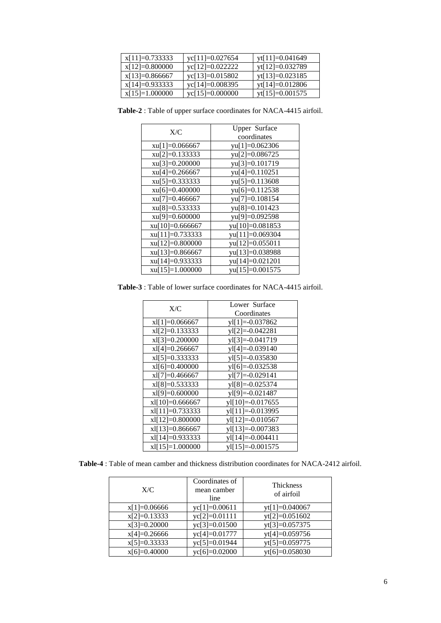| $x[11]=0.733333$ | $yc[11]=0.027654$ | yt[11]=0.041649   |
|------------------|-------------------|-------------------|
| $x[12]=0.800000$ | yc[12]=0.022222   | yt[12]=0.032789   |
| $x[13]=0.866667$ | yc[13]=0.015802   | $yt[13]=0.023185$ |
| $x[14]=0.933333$ | yc[14]=0.008395   | yt[14]=0.012806   |
| $x[15]=1.000000$ | $yc[15]=0.000000$ | $yt[15]=0.001575$ |

**Table-2** : Table of upper surface coordinates for NACA-4415 airfoil.

| X/C               | Upper Surface   |
|-------------------|-----------------|
|                   | coordinates     |
| $xu[1]=0.066667$  | yu[1]=0.062306  |
| $xu[2]=0.133333$  | yu[2]=0.086725  |
| $xu[3]=0.200000$  | yu[3]=0.101719  |
| $xu[4]=0.266667$  | yu[4]=0.110251  |
| $xu[5]=0.333333$  | yu[5]=0.113608  |
| $xu[6]=0.400000$  | yu[6]=0.112538  |
| $xu[7]=0.466667$  | yu[7]=0.108154  |
| $xu[8]=0.533333$  | yu[8]=0.101423  |
| $xu[9]=0.600000$  | yu[9]=0.092598  |
| $xu[10]=0.666667$ | yu[10]=0.081853 |
| xu[11]=0.733333   | yu[11]=0.069304 |
| xu[12]=0.800000   | yu[12]=0.055011 |
| xu[13]=0.866667   | yu[13]=0.038988 |
| xu[14]=0.933333   | yu[14]=0.021201 |
| $xu[15]=1.000000$ | yu[15]=0.001575 |

**Table-3** : Table of lower surface coordinates for NACA-4415 airfoil.

| X/C               | Lower Surface        |
|-------------------|----------------------|
|                   | Coordinates          |
| $x1[1]=0.066667$  | $v1[1]=-0.037862$    |
| $x1[2]=0.133333$  | $y1[2]=-0.042281$    |
| $x1[3]=0.200000$  | $y1[3]=-0.041719$    |
| $x1[4]=0.266667$  | $y1[4] = -0.039140$  |
| $x1[5]=0.3333333$ | $y1[5]=-0.035830$    |
| $x1[6]=0.400000$  | $v1[6]=-0.032538$    |
| $x1[7]=0.466667$  | $yI[7]=-0.029141$    |
| $x1[8]=0.533333$  | yl[8]=-0.025374      |
| $x1[9]=0.600000$  | $y1[9]=-0.021487$    |
| $x1[10]=0.666667$ | $y1[10] = -0.017655$ |
| $x1[11]=0.733333$ | $y1[11] = -0.013995$ |
| xl[12]=0.800000   | $y1[12]=0.010567$    |
| $x1[13]=0.866667$ | yl[13]=-0.007383     |
| xl[14]=0.933333   | $v1[14] = -0.004411$ |
| $x1[15]=1.000000$ | $y1[15]=-0.001575$   |

**Table-4** : Table of mean camber and thickness distribution coordinates for NACA-2412 airfoil.

| X/C            | Coordinates of<br>mean camber<br>line | Thickness<br>of airfoil |
|----------------|---------------------------------------|-------------------------|
| $x[1]=0.06666$ | $yc[1]=0.00611$                       | $yt[1]=0.040067$        |
| $x[2]=0.13333$ | $yc[2]=0.01111$                       | $yt[2]=0.051602$        |
| $x[3]=0.20000$ | yc[3]=0.01500                         | yt[3]=0.057375          |
| $x[4]=0.26666$ | yc[4]=0.01777                         | yt[4]=0.059756          |
| $x[5]=0.33333$ | yc[5]=0.01944                         | yt[5]=0.059775          |
| $x[6]=0.40000$ | yc[6]=0.02000                         | $vt[6]=0.058030$        |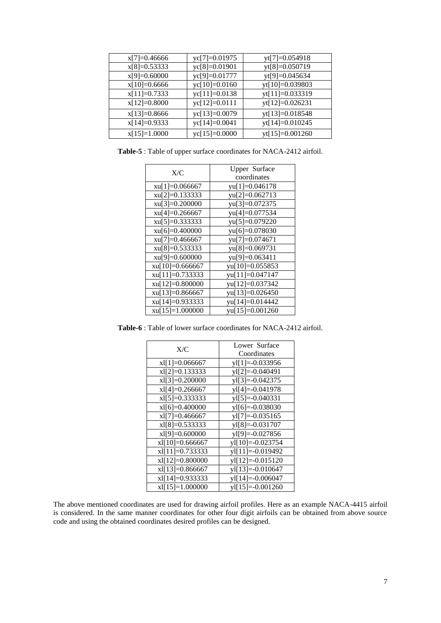| $x[7]=0.46666$ | yc[7]=0.01975          | yt[7]=0.054918    |
|----------------|------------------------|-------------------|
| $x[8]=0.53333$ | yc[8]=0.01901          | yt[8]=0.050719    |
| $x[9]=0.60000$ | yc[9]=0.01777          | yt[9]=0.045634    |
| $x[10]=0.6666$ | $yc[10]=0.0160$        | yt[10]=0.039803   |
| $x[11]=0.7333$ | yc[11]=0.0138          | yt[11]=0.033319   |
| $x[12]=0.8000$ | $yc[12]=0.0111$        | yt[12]=0.026231   |
| $x[13]=0.8666$ | yc[13]=0.0079          | yt[13]=0.018548   |
| $x[14]=0.9333$ | yc[14]=0.0041          | yt[14]=0.010245   |
| $x[15]=1.0000$ | $\text{yc}[15]=0.0000$ | $yt[15]=0.001260$ |

**Table-5** : Table of upper surface coordinates for NACA-2412 airfoil.

| yu[1]=0.046178    |
|-------------------|
| yu[2]=0.062713    |
| yu[3]=0.072375    |
| yu[4]=0.077534    |
| yu[5]=0.079220    |
| yu[6]=0.078030    |
| $yu[7]=0.074671$  |
| $yu[8]=0.069731$  |
| yu[9]=0.063411    |
| yu[10]=0.055853   |
| yu[11]=0.047147   |
| yu[12]=0.037342   |
| $yu[13]=0.026450$ |
| yu[14]=0.014442   |
| yu[15]=0.001260   |
|                   |

**Table-6** : Table of lower surface coordinates for NACA-2412 airfoil.

| X/C               | Lower Surface        |
|-------------------|----------------------|
|                   | Coordinates          |
| $x1[1]=0.066667$  | $y1[1]=-0.033956$    |
| $x1[2]=0.133333$  | yl[2]=-0.040491      |
| $x1[3]=0.200000$  | $y1[3]=-0.042375$    |
| $x1[4]=0.266667$  | $v1[4] = -0.041978$  |
| $x1[5]=0.333333$  | $y1[5] = -0.040331$  |
| $x1[6]=0.400000$  | $y1[6]=-0.038030$    |
| $x1[7]=0.466667$  | $v1[7]=-0.035165$    |
| $x1[8]=0.533333$  | $y1[8] = -0.031707$  |
| $x1[9]=0.600000$  | $y1[9]=-0.027856$    |
| $x1[10]=0.666667$ | $v1[10]=-0.023754$   |
| $x1[11]=0.733333$ | $v1[11]=-0.019492$   |
| $x1[12]=0.800000$ | $v1[12] = -0.015120$ |
| $x1[13]=0.866667$ | $y1[13]=-0.010647$   |
| $x1[14]=0.933333$ | $v1[14] = -0.006047$ |
| $x1[15]=1.000000$ | $y1[15]=-0.001260$   |

The above mentioned coordinates are used for drawing airfoil profiles. Here as an example NACA-4415 airfoil is considered. In the same manner coordinates for other four digit airfoils can be obtained from above source code and using the obtained coordinates desired profiles can be designed.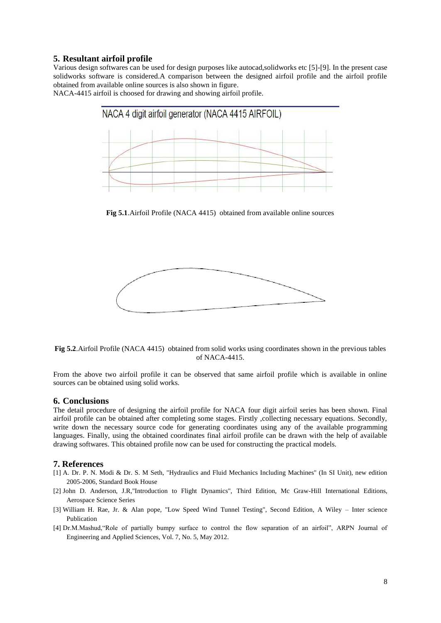#### **5. Resultant airfoil profile**

Various design softwares can be used for design purposes like autocad,solidworks etc [5]-[9]. In the present case solidworks software is considered.A comparison between the designed airfoil profile and the airfoil profile obtained from available online sources is also shown in figure.

NACA-4415 airfoil is choosed for drawing and showing airfoil profile.



**Fig 5.1**.Airfoil Profile (NACA 4415) obtained from available online sources



**Fig 5.2**.Airfoil Profile (NACA 4415) obtained from solid works using coordinates shown in the previous tables of NACA-4415.

From the above two airfoil profile it can be observed that same airfoil profile which is available in online sources can be obtained using solid works.

#### **6. Conclusions**

The detail procedure of designing the airfoil profile for NACA four digit airfoil series has been shown. Final airfoil profile can be obtained after completing some stages. Firstly ,collecting necessary equations. Secondly, write down the necessary source code for generating coordinates using any of the available programming languages. Finally, using the obtained coordinates final airfoil profile can be drawn with the help of available drawing softwares. This obtained profile now can be used for constructing the practical models.

#### **7. References**

- [1] A. Dr. P. N. Modi & Dr. S. M Seth, "Hydraulics and Fluid Mechanics Including Machines" (In SI Unit), new edition 2005-2006, Standard Book House
- [2] John D. Anderson, J.R,"Introduction to Flight Dynamics", Third Edition, Mc Graw-Hill International Editions, Aerospace Science Series
- [3] William H. Rae, Jr. & Alan pope, "Low Speed Wind Tunnel Testing", Second Edition, A Wiley Inter science Publication
- [4] Dr.M.Mashud,"Role of partially bumpy surface to control the flow separation of an airfoil", ARPN Journal of Engineering and Applied Sciences, Vol. 7, No. 5, May 2012.